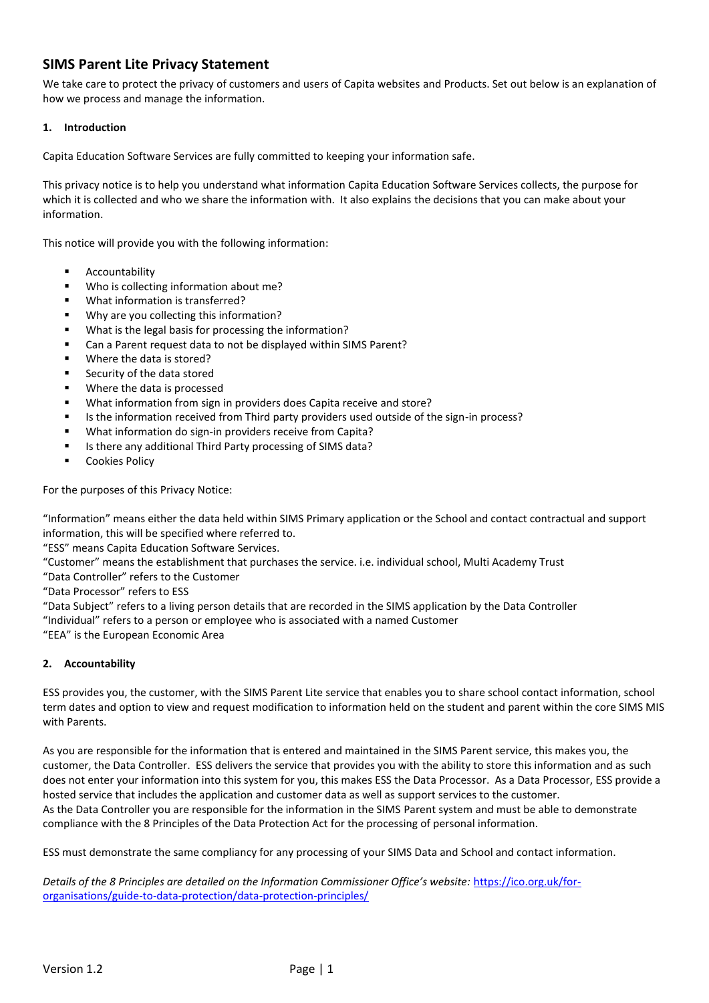# **SIMS Parent Lite Privacy Statement**

We take care to protect the privacy of customers and users of Capita websites and Products. Set out below is an explanation of how we process and manage the information.

### **1. Introduction**

Capita Education Software Services are fully committed to keeping your information safe.

This privacy notice is to help you understand what information Capita Education Software Services collects, the purpose for which it is collected and who we share the information with. It also explains the decisions that you can make about your information.

This notice will provide you with the following information:

- Accountability
- Who is collecting information about me?
- What information is transferred?
- Why are you collecting this information?
- What is the legal basis for processing the information?
- Can a Parent request data to not be displayed within SIMS Parent?
- Where the data is stored?
- **Security of the data stored**
- Where the data is processed
- What information from sign in providers does Capita receive and store?
- Is the information received from Third party providers used outside of the sign-in process?
- What information do sign-in providers receive from Capita?
- Is there any additional Third Party processing of SIMS data?
- **Cookies Policy**

For the purposes of this Privacy Notice:

"Information" means either the data held within SIMS Primary application or the School and contact contractual and support information, this will be specified where referred to.

"ESS" means Capita Education Software Services.

"Customer" means the establishment that purchases the service. i.e. individual school, Multi Academy Trust

"Data Controller" refers to the Customer

"Data Processor" refers to ESS

"Data Subject" refers to a living person details that are recorded in the SIMS application by the Data Controller "Individual" refers to a person or employee who is associated with a named Customer

"EEA" is the European Economic Area

#### **2. Accountability**

ESS provides you, the customer, with the SIMS Parent Lite service that enables you to share school contact information, school term dates and option to view and request modification to information held on the student and parent within the core SIMS MIS with Parents.

As you are responsible for the information that is entered and maintained in the SIMS Parent service, this makes you, the customer, the Data Controller. ESS delivers the service that provides you with the ability to store this information and as such does not enter your information into this system for you, this makes ESS the Data Processor. As a Data Processor, ESS provide a hosted service that includes the application and customer data as well as support services to the customer. As the Data Controller you are responsible for the information in the SIMS Parent system and must be able to demonstrate compliance with the 8 Principles of the Data Protection Act for the processing of personal information.

ESS must demonstrate the same compliancy for any processing of your SIMS Data and School and contact information.

*Details of the 8 Principles are detailed on the Information Commissioner Office's website:* [https://ico.org.uk/for](https://ico.org.uk/for-organisations/guide-to-data-protection/data-protection-principles/)[organisations/guide-to-data-protection/data-protection-principles/](https://ico.org.uk/for-organisations/guide-to-data-protection/data-protection-principles/)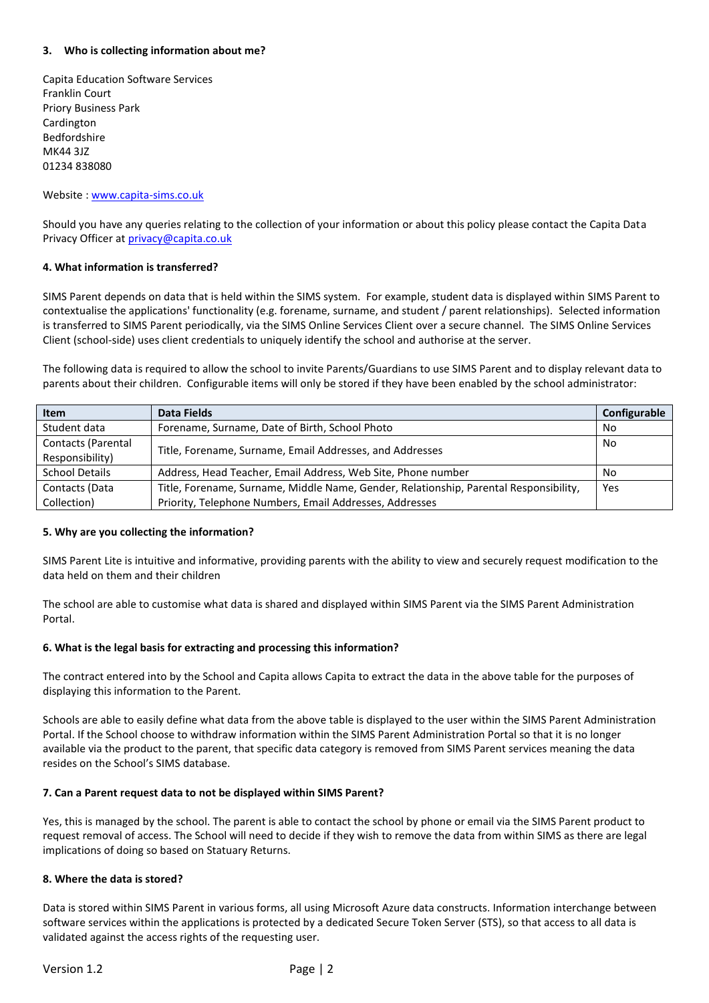### **3. Who is collecting information about me?**

Capita Education Software Services Franklin Court Priory Business Park Cardington Bedfordshire MK44 3JZ 01234 838080

#### Website : [www.capita-sims.co.uk](http://www.capita-sims.co.uk/)

Should you have any queries relating to the collection of your information or about this policy please contact the Capita Data Privacy Officer a[t privacy@capita.co.uk](mailto:privacy@capita.co.uk)

### **4. What information is transferred?**

SIMS Parent depends on data that is held within the SIMS system. For example, student data is displayed within SIMS Parent to contextualise the applications' functionality (e.g. forename, surname, and student / parent relationships). Selected information is transferred to SIMS Parent periodically, via the SIMS Online Services Client over a secure channel. The SIMS Online Services Client (school-side) uses client credentials to uniquely identify the school and authorise at the server.

The following data is required to allow the school to invite Parents/Guardians to use SIMS Parent and to display relevant data to parents about their children. Configurable items will only be stored if they have been enabled by the school administrator:

| <b>Item</b>           | Data Fields                                                                           | Configurable |
|-----------------------|---------------------------------------------------------------------------------------|--------------|
| Student data          | Forename, Surname, Date of Birth, School Photo                                        | No.          |
| Contacts (Parental    | Title, Forename, Surname, Email Addresses, and Addresses                              | No.          |
| Responsibility)       |                                                                                       |              |
| <b>School Details</b> | Address, Head Teacher, Email Address, Web Site, Phone number                          | No.          |
| Contacts (Data        | Title, Forename, Surname, Middle Name, Gender, Relationship, Parental Responsibility, | Yes          |
| Collection)           | Priority, Telephone Numbers, Email Addresses, Addresses                               |              |

#### **5. Why are you collecting the information?**

SIMS Parent Lite is intuitive and informative, providing parents with the ability to view and securely request modification to the data held on them and their children

The school are able to customise what data is shared and displayed within SIMS Parent via the SIMS Parent Administration Portal.

# **6. What is the legal basis for extracting and processing this information?**

The contract entered into by the School and Capita allows Capita to extract the data in the above table for the purposes of displaying this information to the Parent.

Schools are able to easily define what data from the above table is displayed to the user within the SIMS Parent Administration Portal. If the School choose to withdraw information within the SIMS Parent Administration Portal so that it is no longer available via the product to the parent, that specific data category is removed from SIMS Parent services meaning the data resides on the School's SIMS database.

#### **7. Can a Parent request data to not be displayed within SIMS Parent?**

Yes, this is managed by the school. The parent is able to contact the school by phone or email via the SIMS Parent product to request removal of access. The School will need to decide if they wish to remove the data from within SIMS as there are legal implications of doing so based on Statuary Returns.

#### **8. Where the data is stored?**

Data is stored within SIMS Parent in various forms, all using Microsoft Azure data constructs. Information interchange between software services within the applications is protected by a dedicated Secure Token Server (STS), so that access to all data is validated against the access rights of the requesting user.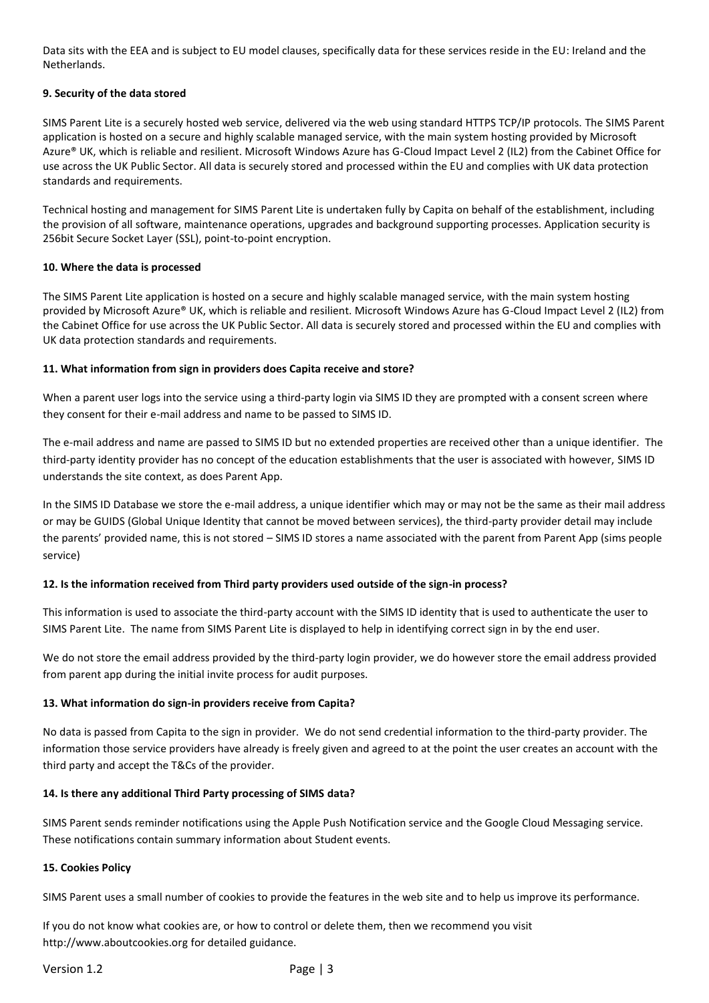Data sits with the EEA and is subject to EU model clauses, specifically data for these services reside in the EU: Ireland and the Netherlands.

# **9. Security of the data stored**

SIMS Parent Lite is a securely hosted web service, delivered via the web using standard HTTPS TCP/IP protocols. The SIMS Parent application is hosted on a secure and highly scalable managed service, with the main system hosting provided by Microsoft Azure® UK, which is reliable and resilient. Microsoft Windows Azure has G-Cloud Impact Level 2 (IL2) from the Cabinet Office for use across the UK Public Sector. All data is securely stored and processed within the EU and complies with UK data protection standards and requirements.

Technical hosting and management for SIMS Parent Lite is undertaken fully by Capita on behalf of the establishment, including the provision of all software, maintenance operations, upgrades and background supporting processes. Application security is 256bit Secure Socket Layer (SSL), point-to-point encryption.

### **10. Where the data is processed**

The SIMS Parent Lite application is hosted on a secure and highly scalable managed service, with the main system hosting provided by Microsoft Azure® UK, which is reliable and resilient. Microsoft Windows Azure has G-Cloud Impact Level 2 (IL2) from the Cabinet Office for use across the UK Public Sector. All data is securely stored and processed within the EU and complies with UK data protection standards and requirements.

### **11. What information from sign in providers does Capita receive and store?**

When a parent user logs into the service using a third-party login via SIMS ID they are prompted with a consent screen where they consent for their e-mail address and name to be passed to SIMS ID.

The e-mail address and name are passed to SIMS ID but no extended properties are received other than a unique identifier. The third-party identity provider has no concept of the education establishments that the user is associated with however, SIMS ID understands the site context, as does Parent App.

In the SIMS ID Database we store the e-mail address, a unique identifier which may or may not be the same as their mail address or may be GUIDS (Global Unique Identity that cannot be moved between services), the third-party provider detail may include the parents' provided name, this is not stored – SIMS ID stores a name associated with the parent from Parent App (sims people service)

# **12. Is the information received from Third party providers used outside of the sign-in process?**

This information is used to associate the third-party account with the SIMS ID identity that is used to authenticate the user to SIMS Parent Lite. The name from SIMS Parent Lite is displayed to help in identifying correct sign in by the end user.

We do not store the email address provided by the third-party login provider, we do however store the email address provided from parent app during the initial invite process for audit purposes.

# **13. What information do sign-in providers receive from Capita?**

No data is passed from Capita to the sign in provider. We do not send credential information to the third-party provider. The information those service providers have already is freely given and agreed to at the point the user creates an account with the third party and accept the T&Cs of the provider.

# **14. Is there any additional Third Party processing of SIMS data?**

SIMS Parent sends reminder notifications using the Apple Push Notification service and the Google Cloud Messaging service. These notifications contain summary information about Student events.

#### **15. Cookies Policy**

SIMS Parent uses a small number of cookies to provide the features in the web site and to help us improve its performance.

If you do not know what cookies are, or how to control or delete them, then we recommend you visit [http://www.aboutcookies.org](http://www.aboutcookies.org/) for detailed guidance.